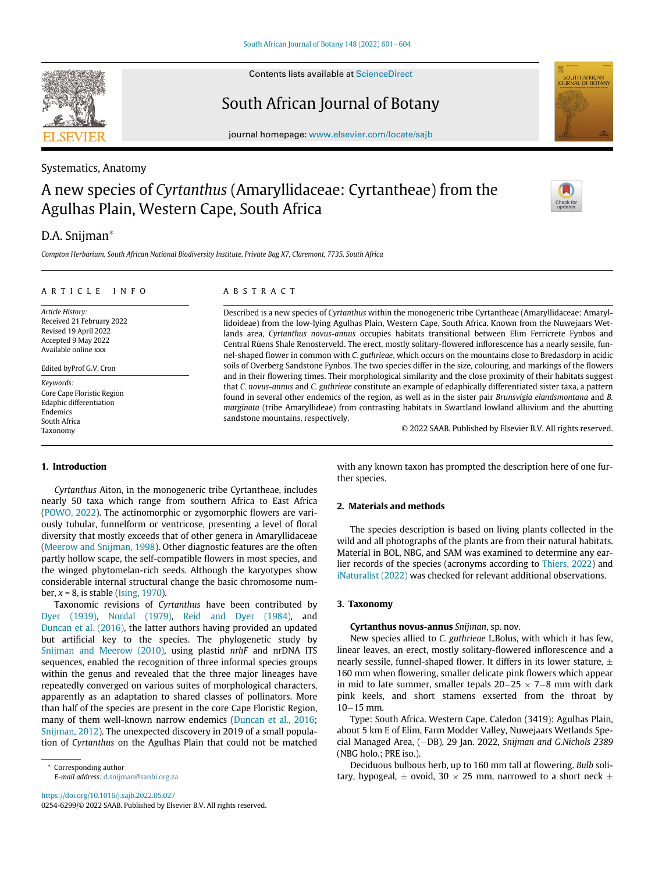Contents lists available at ScienceDirect

# South African Journal of Botany

journal homepage: [www.elsevier.com/locate/sajb](http://www.elsevier.com/locate/sajb)

## Systematics, Anatomy

# A new species of Cyrtanthus (Amaryllidaceae: Cyrtantheae) from the Agulhas Plain, Western Cape, South Africa



# D.A. Snijman[\\*](#page-0-0)

Compton Herbarium, South African National Biodiversity Institute, Private Bag X7, Claremont, 7735, South Africa

#### ARTICLE INFO

Article History: Received 21 February 2022 Revised 19 April 2022 Accepted 9 May 2022 Available online xxx

Edited byProf G.V. Cron

Keywords: Core Cape Floristic Region Edaphic differentiation Endemics South Africa Taxonomy

## ABSTRACT

Described is a new species of Cyrtanthus within the monogeneric tribe Cyrtantheae (Amaryllidaceae: Amaryllidoideae) from the low-lying Agulhas Plain, Western Cape, South Africa. Known from the Nuwejaars Wetlands area, Cyrtanthus novus-annus occupies habitats transitional between Elim Ferricrete Fynbos and Central Rûens Shale Renosterveld. The erect, mostly solitary-flowered inflorescence has a nearly sessile, funnel-shaped flower in common with C. guthrieae, which occurs on the mountains close to Bredasdorp in acidic soils of Overberg Sandstone Fynbos. The two species differ in the size, colouring, and markings of the flowers and in their flowering times. Their morphological similarity and the close proximity of their habitats suggest that C. novus-annus and C. guthrieae constitute an example of edaphically differentiated sister taxa, a pattern found in several other endemics of the region, as well as in the sister pair Brunsvigia elandsmontana and B. marginata (tribe Amaryllideae) from contrasting habitats in Swartland lowland alluvium and the abutting sandstone mountains, respectively.

© 2022 SAAB. Published by Elsevier B.V. All rights reserved.

#### 1. Introduction

Cyrtanthus Aiton, in the monogeneric tribe Cyrtantheae, includes nearly 50 taxa which range from southern Africa to East Africa ([POWO, 2022](#page-3-0)). The actinomorphic or zygomorphic flowers are variously tubular, funnelform or ventricose, presenting a level of floral diversity that mostly exceeds that of other genera in Amaryllidaceae ([Meerow and Snijman, 1998](#page-3-1)). Other diagnostic features are the often partly hollow scape, the self-compatible flowers in most species, and the winged phytomelan-rich seeds. Although the karyotypes show considerable internal structural change the basic chromosome number,  $x = 8$ , is stable ([Ising, 1970](#page-2-0)).

Taxonomic revisions of Cyrtanthus have been contributed by [Dyer \(1939\),](#page-2-1) [Nordal \(1979\)](#page-3-2), [Reid and Dyer \(1984\)](#page-3-3), and [Duncan et al. \(2016\),](#page-2-2) the latter authors having provided an updated but artificial key to the species. The phylogenetic study by [Snijman and Meerow \(2010\)](#page-3-4), using plastid nrhF and nrDNA ITS sequences, enabled the recognition of three informal species groups within the genus and revealed that the three major lineages have repeatedly converged on various suites of morphological characters, apparently as an adaptation to shared classes of pollinators. More than half of the species are present in the core Cape Floristic Region, many of them well-known narrow endemics ([Duncan et al., 2016;](#page-2-2) [Snijman, 2012\)](#page-3-5). The unexpected discovery in 2019 of a small population of Cyrtanthus on the Agulhas Plain that could not be matched

E-mail address: [d.snijman@sanbi.org.za](mailto:d.snijman@sanbi.org.za)

<https://doi.org/10.1016/j.sajb.2022.05.027> 0254-6299/© 2022 SAAB. Published by Elsevier B.V. All rights reserved. with any known taxon has prompted the description here of one further species.

### 2. Materials and methods

The species description is based on living plants collected in the wild and all photographs of the plants are from their natural habitats. Material in BOL, NBG, and SAM was examined to determine any earlier records of the species (acronyms according to [Thiers, 2022](#page-3-6)) and [iNaturalist \(2022\)](#page-2-3) was checked for relevant additional observations.

### 3. Taxonomy

#### Cyrtanthus novus-annus Snijman, sp. nov.

New species allied to C. guthrieae L.Bolus, with which it has few, linear leaves, an erect, mostly solitary-flowered inflorescence and a nearly sessile, funnel-shaped flower. It differs in its lower stature,  $\pm$ 160 mm when flowering, smaller delicate pink flowers which appear in mid to late summer, smaller tepals  $20-25 \times 7-8$  mm with dark pink keels, and short stamens exserted from the throat by  $10-15$  mm.

Type: South Africa. Western Cape, Caledon (3419): Agulhas Plain, about 5 km E of Elim, Farm Modder Valley, Nuwejaars Wetlands Special Managed Area, (-DB), 29 Jan. 2022, Snijman and G.Nichols 2389 (NBG holo.; PRE iso.).

Deciduous bulbous herb, up to 160 mm tall at flowering. Bulb solitary, hypogeal,  $\pm$  ovoid, 30  $\times$  25 mm, narrowed to a short neck  $\pm$ 

<span id="page-0-0"></span><sup>\*</sup> Corresponding author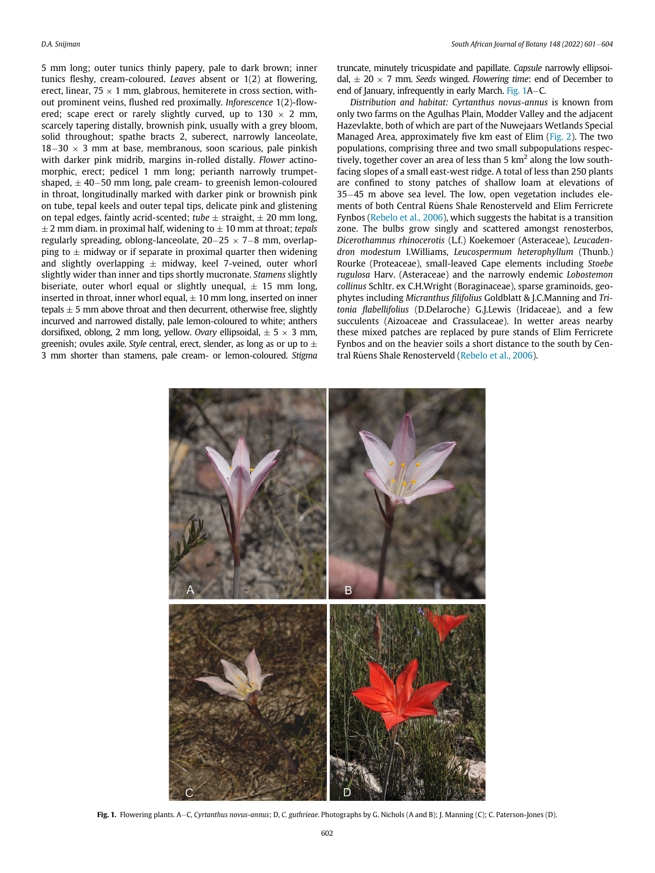5 mm long; outer tunics thinly papery, pale to dark brown; inner tunics fleshy, cream-coloured. Leaves absent or 1(2) at flowering, erect, linear,  $75 \times 1$  mm, glabrous, hemiterete in cross section, without prominent veins, flushed red proximally. Inforescence 1(2)-flowered; scape erect or rarely slightly curved, up to  $130 \times 2$  mm, scarcely tapering distally, brownish pink, usually with a grey bloom, solid throughout; spathe bracts 2, suberect, narrowly lanceolate,  $18-30 \times 3$  mm at base, membranous, soon scarious, pale pinkish with darker pink midrib, margins in-rolled distally. Flower actinomorphic, erect; pedicel 1 mm long; perianth narrowly trumpetshaped,  $\pm$  40–50 mm long, pale cream- to greenish lemon-coloured in throat, longitudinally marked with darker pink or brownish pink on tube, tepal keels and outer tepal tips, delicate pink and glistening on tepal edges, faintly acrid-scented; tube  $\pm$  straight,  $\pm$  20 mm long,  $\pm$  2 mm diam. in proximal half, widening to  $\pm$  10 mm at throat; tepals regularly spreading, oblong-lanceolate,  $20-25 \times 7-8$  mm, overlapping to  $\pm$  midway or if separate in proximal quarter then widening and slightly overlapping  $\pm$  midway, keel 7-veined, outer whorl slightly wider than inner and tips shortly mucronate. Stamens slightly biseriate, outer whorl equal or slightly unequal,  $\pm$  15 mm long, inserted in throat, inner whorl equal,  $\pm$  10 mm long, inserted on inner tepals  $\pm$  5 mm above throat and then decurrent, otherwise free, slightly incurved and narrowed distally, pale lemon-coloured to white; anthers dorsifixed, oblong, 2 mm long, yellow. Ovary ellipsoidal,  $\pm$  5  $\times$  3 mm, greenish; ovules axile. Style central, erect, slender, as long as or up to  $\pm$ 3 mm shorter than stamens, pale cream- or lemon-coloured. Stigma truncate, minutely tricuspidate and papillate. Capsule narrowly ellipsoidal,  $\pm$  20  $\times$  7 mm. Seeds winged. Flowering time: end of December to end of January, infrequently in early March. Fig.  $1A-C$ .

Distribution and habitat: Cyrtanthus novus-annus is known from only two farms on the Agulhas Plain, Modder Valley and the adjacent Hazevlakte, both of which are part of the Nuwejaars Wetlands Special Managed Area, approximately five km east of Elim ([Fig. 2\)](#page-2-4). The two populations, comprising three and two small subpopulations respectively, together cover an area of less than 5  $km^2$  along the low southfacing slopes of a small east-west ridge. A total of less than 250 plants are confined to stony patches of shallow loam at elevations of 3545 m above sea level. The low, open vegetation includes elements of both Central Rûens Shale Renosterveld and Elim Ferricrete Fynbos [\(Rebelo et al., 2006\)](#page-3-7), which suggests the habitat is a transition zone. The bulbs grow singly and scattered amongst renosterbos, Dicerothamnus rhinocerotis (L.f.) Koekemoer (Asteraceae), Leucadendron modestum I.Williams, Leucospermum heterophyllum (Thunb.) Rourke (Proteaceae), small-leaved Cape elements including Stoebe rugulosa Harv. (Asteraceae) and the narrowly endemic Lobostemon collinus Schltr. ex C.H.Wright (Boraginaceae), sparse graminoids, geophytes including Micranthus filifolius Goldblatt & J.C.Manning and Tritonia flabellifolius (D.Delaroche) G.J.Lewis (Iridaceae), and a few succulents (Aizoaceae and Crassulaceae). In wetter areas nearby these mixed patches are replaced by pure stands of Elim Ferricrete Fynbos and on the heavier soils a short distance to the south by Cen-tral Rûens Shale Renosterveld ([Rebelo et al., 2006\)](#page-3-7).

<span id="page-1-0"></span>

Fig. 1. Flowering plants. A-C, Cyrtanthus novus-annus; D, C. guthrieae. Photographs by G. Nichols (A and B); J. Manning (C); C. Paterson-Jones (D).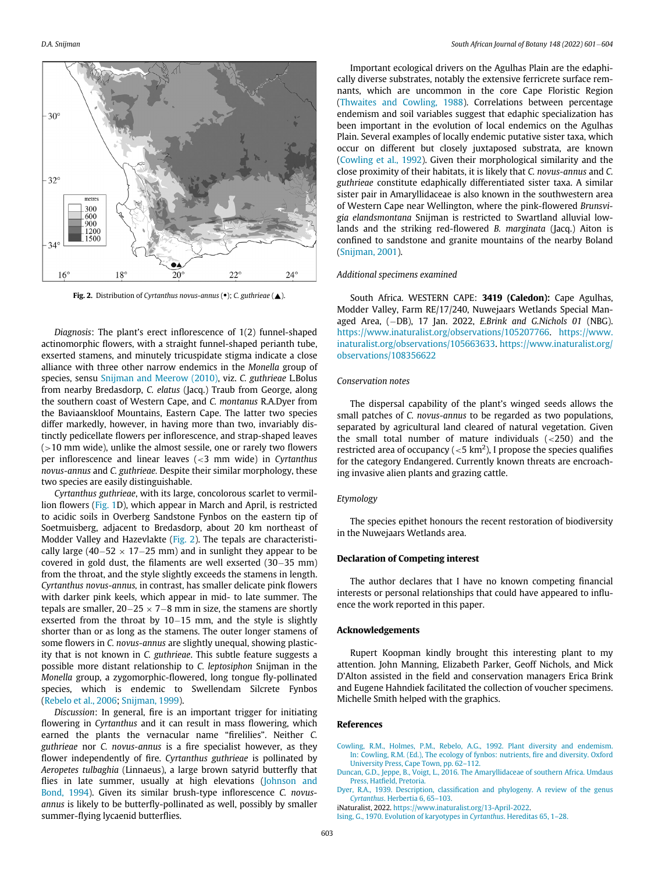<span id="page-2-4"></span>

Fig. 2. Distribution of Cyrtanthus novus-annus (•); C. guthrieae ( $\blacktriangle$ ).

Diagnosis: The plant's erect inflorescence of 1(2) funnel-shaped actinomorphic flowers, with a straight funnel-shaped perianth tube, exserted stamens, and minutely tricuspidate stigma indicate a close alliance with three other narrow endemics in the Monella group of species, sensu [Snijman and Meerow \(2010\)](#page-3-4), viz. C. guthrieae L.Bolus from nearby Bredasdorp, C. elatus (Jacq.) Traub from George, along the southern coast of Western Cape, and C. montanus R.A.Dyer from the Baviaanskloof Mountains, Eastern Cape. The latter two species differ markedly, however, in having more than two, invariably distinctly pedicellate flowers per inflorescence, and strap-shaped leaves  $(>10$  mm wide), unlike the almost sessile, one or rarely two flowers per inflorescence and linear leaves  $\left( < 3 \right)$  mm wide) in Cyrtanthus novus-annus and C. guthrieae. Despite their similar morphology, these two species are easily distinguishable.

Cyrtanthus guthrieae, with its large, concolorous scarlet to vermillion flowers ([Fig. 1](#page-1-0)D), which appear in March and April, is restricted to acidic soils in Overberg Sandstone Fynbos on the eastern tip of Soetmuisberg, adjacent to Bredasdorp, about 20 km northeast of Modder Valley and Hazevlakte [\(Fig. 2](#page-2-4)). The tepals are characteristically large (40-52  $\times$  17-25 mm) and in sunlight they appear to be covered in gold dust, the filaments are well exserted  $(30-35$  mm) from the throat, and the style slightly exceeds the stamens in length. Cyrtanthus novus-annus, in contrast, has smaller delicate pink flowers with darker pink keels, which appear in mid- to late summer. The tepals are smaller,  $20-25 \times 7-8$  mm in size, the stamens are shortly exserted from the throat by  $10-15$  mm, and the style is slightly shorter than or as long as the stamens. The outer longer stamens of some flowers in C. novus-annus are slightly unequal, showing plasticity that is not known in C. guthrieae. This subtle feature suggests a possible more distant relationship to C. leptosiphon Snijman in the Monella group, a zygomorphic-flowered, long tongue fly-pollinated species, which is endemic to Swellendam Silcrete Fynbos ([Rebelo et al., 2006](#page-3-7); [Snijman, 1999\)](#page-3-8).

<span id="page-2-5"></span><span id="page-2-3"></span><span id="page-2-2"></span><span id="page-2-1"></span><span id="page-2-0"></span>Discussion: In general, fire is an important trigger for initiating flowering in Cyrtanthus and it can result in mass flowering, which earned the plants the vernacular name "firelilies". Neither C. guthrieae nor C. novus-annus is a fire specialist however, as they flower independently of fire. Cyrtanthus guthrieae is pollinated by Aeropetes tulbaghia (Linnaeus), a large brown satyrid butterfly that flies in late summer, usually at high elevations ([Johnson and](#page-3-9) [Bond, 1994\)](#page-3-9). Given its similar brush-type inflorescence C. novusannus is likely to be butterfly-pollinated as well, possibly by smaller summer-flying lycaenid butterflies.

Important ecological drivers on the Agulhas Plain are the edaphically diverse substrates, notably the extensive ferricrete surface remnants, which are uncommon in the core Cape Floristic Region [\(Thwaites and Cowling, 1988](#page-3-10)). Correlations between percentage endemism and soil variables suggest that edaphic specialization has been important in the evolution of local endemics on the Agulhas Plain. Several examples of locally endemic putative sister taxa, which occur on different but closely juxtaposed substrata, are known [\(Cowling et al., 1992\)](#page-2-5). Given their morphological similarity and the close proximity of their habitats, it is likely that C. novus-annus and C. guthrieae constitute edaphically differentiated sister taxa. A similar sister pair in Amaryllidaceae is also known in the southwestern area of Western Cape near Wellington, where the pink-flowered Brunsvigia elandsmontana Snijman is restricted to Swartland alluvial lowlands and the striking red-flowered B. marginata (Jacq.) Aiton is confined to sandstone and granite mountains of the nearby Boland [\(Snijman, 2001](#page-3-11)).

#### Additional specimens examined

South Africa. WESTERN CAPE: 3419 (Caledon): Cape Agulhas, Modder Valley, Farm RE/17/240, Nuwejaars Wetlands Special Managed Area,  $(-DB)$ , 17 Jan. 2022, E.Brink and G.Nichols 01 (NBG). [https://www.inaturalist.org/observations/105207766.](https://www.inaturalist.org/observations/105207766) [https://www.](https://www.inaturalist.org/observations/105663633) [inaturalist.org/observations/105663633.](https://www.inaturalist.org/observations/105663633) [https://www.inaturalist.org/](https://www.inaturalist.org/observations/108356622) [observations/108356622](https://www.inaturalist.org/observations/108356622)

#### Conservation notes

The dispersal capability of the plant's winged seeds allows the small patches of C. novus-annus to be regarded as two populations, separated by agricultural land cleared of natural vegetation. Given the small total number of mature individuals  $\left( < 250 \right)$  and the restricted area of occupancy ( $<$ 5 km<sup>2</sup>), I propose the species qualifies for the category Endangered. Currently known threats are encroaching invasive alien plants and grazing cattle.

#### Etymology

The species epithet honours the recent restoration of biodiversity in the Nuwejaars Wetlands area.

#### Declaration of Competing interest

The author declares that I have no known competing financial interests or personal relationships that could have appeared to influence the work reported in this paper.

#### Acknowledgements

Rupert Koopman kindly brought this interesting plant to my attention. John Manning, Elizabeth Parker, Geoff Nichols, and Mick D'Alton assisted in the field and conservation managers Erica Brink and Eugene Hahndiek facilitated the collection of voucher specimens. Michelle Smith helped with the graphics.

#### References

[Cowling, R.M., Holmes, P.M., Rebelo, A.G., 1992. Plant diversity and endemism.](http://refhub.elsevier.com/S0254-6299(22)00254-X/sbref0001) [In: Cowling, R.M. \(Ed.\), The ecology of fynbos: nutrients,](http://refhub.elsevier.com/S0254-6299(22)00254-X/sbref0001) fire and diversity. Oxford [University Press, Cape Town, pp. 62](http://refhub.elsevier.com/S0254-6299(22)00254-X/sbref0001)–112.

- [Duncan, G.D., Jeppe, B., Voigt, L., 2016. The Amaryllidaceae of southern Africa. Umdaus](http://refhub.elsevier.com/S0254-6299(22)00254-X/sbref0002) Press, Hatfi[eld, Pretoria.](http://refhub.elsevier.com/S0254-6299(22)00254-X/sbref0002)
- Dyer, R.A., 1939. Description, classifi[cation and phylogeny. A review of the genus](http://refhub.elsevier.com/S0254-6299(22)00254-X/sbref0003) Cyrtanthus[. Herbertia 6, 65](http://refhub.elsevier.com/S0254-6299(22)00254-X/sbref0003)–103.
- iNaturalist, 2022. [https://www.inaturalist.org/13-April-2022.](https://www.inaturalist.org/13-April-2022)
- [Ising, G., 1970. Evolution of karyotypes in](http://refhub.elsevier.com/S0254-6299(22)00254-X/sbref0005) Cyrtanthus. Hereditas 65, 1–28.